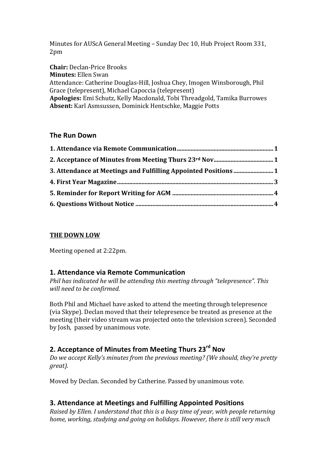Minutes for AUScA General Meeting – Sunday Dec 10, Hub Project Room 331, 2pm

**Chair:** Declan-Price Brooks **Minutes:** Ellen Swan Attendance: Catherine Douglas-Hill, Joshua Chey, Imogen Winsborough, Phil Grace (telepresent), Michael Capoccia (telepresent) Apologies: Emi Schutz, Kelly Macdonald, Tobi Threadgold, Tamika Burrowes Absent: Karl Asmsussen, Dominick Hentschke, Maggie Potts

### **The Run Down**

## **THE DOWN LOW**

Meeting opened at 2:22pm.

### **1. Attendance via Remote Communication**

*Phil has indicated he will be attending this meeting through "telepresence". This will need to be confirmed.*

Both Phil and Michael have asked to attend the meeting through telepresence (via Skype). Declan moved that their telepresence be treated as presence at the meeting (their video stream was projected onto the television screen). Seconded by Josh, passed by unanimous vote.

# **2. Acceptance of Minutes from Meeting Thurs 23rd Nov**

*Do* we accept Kelly's minutes from the previous meeting? (We should, they're pretty *great).*

Moved by Declan. Seconded by Catherine. Passed by unanimous vote.

# **3. Attendance at Meetings and Fulfilling Appointed Positions**

*Raised by Ellen. I understand that this is a busy time of year, with people returning home, working, studying and going on holidays. However, there is still very much*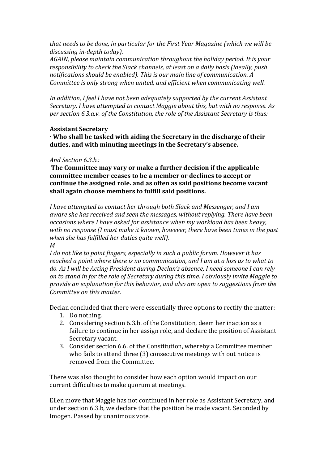*that needs to be done, in particular for the First Year Magazine (which we will be discussing in-depth today).*

*AGAIN, please maintain communication throughout the holiday period. It is your responsibility to check the Slack channels, at least on a daily basis (ideally, push* notifications should be enabled). This is our main line of communication. A *Committee is only strong when united, and efficient when communicating well.* 

*In addition, I feel I have not been adequately supported by the current Assistant Secretary.* I have attempted to contact Maggie about this, but with no response. As *per section 6.3.a.v. of the Constitution, the role of the Assistant Secretary is thus:* 

#### **Assistant Secretary**

**· Who shall be tasked with aiding the Secretary in the discharge of their**  duties, and with minuting meetings in the Secretary's absence.

#### *And Section 6.3.b.:*

**The Committee may vary or make a further decision if the applicable** committee member ceases to be a member or declines to accept or continue the assigned role. and as often as said positions become vacant shall again choose members to fulfill said positions.

*I* have attempted to contact her through both Slack and Messenger, and I am aware she has received and seen the messages, without replying. There have been *occasions where I have asked for assistance when my workload has been heavy,* with no response (I must make it known, however, there have been times in the past when she has fulfilled her duties quite well). *M* 

*I* do not like to point fingers, especially in such a public forum. However it has *reached a point where there is no communication, and I am at a loss as to what to* do. As I will be Acting President during Declan's absence, I need someone I can rely on to stand in for the role of Secretary during this time. I obviously invite Maggie to *provide an explanation for this behavior, and also am open to suggestions from the Committee on this matter.* 

Declan concluded that there were essentially three options to rectify the matter:

- 1. Do nothing.
- 2. Considering section 6.3.b. of the Constitution, deem her inaction as a failure to continue in her assign role, and declare the position of Assistant Secretary vacant.
- 3. Consider section 6.6. of the Constitution, whereby a Committee member who fails to attend three (3) consecutive meetings with out notice is removed from the Committee.

There was also thought to consider how each option would impact on our current difficulties to make quorum at meetings.

Ellen move that Maggie has not continued in her role as Assistant Secretary, and under section 6.3.b, we declare that the position be made vacant. Seconded by Imogen. Passed by unanimous vote.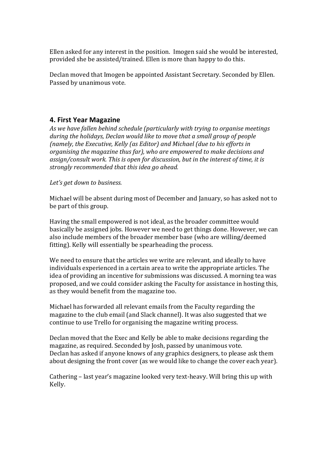Ellen asked for any interest in the position. Imogen said she would be interested, provided she be assisted/trained. Ellen is more than happy to do this.

Declan moved that Imogen be appointed Assistant Secretary. Seconded by Ellen. Passed by unanimous vote.

### **4. First Year Magazine**

As we have fallen behind schedule (particularly with trying to organise meetings *during* the holidays, Declan would like to move that a small group of people *(namely, the Executive, Kelly (as Editor)* and Michael (due to his efforts in organising the magazine thus far), who are empowered to make decisions and assign/consult work. This is open for discussion, but in the interest of time, it is strongly recommended that this *idea go ahead.* 

Let's get down to business.

Michael will be absent during most of December and January, so has asked not to be part of this group.

Having the small empowered is not ideal, as the broader committee would basically be assigned jobs. However we need to get things done. However, we can also include members of the broader member base (who are willing/deemed fitting). Kelly will essentially be spearheading the process.

We need to ensure that the articles we write are relevant, and ideally to have individuals experienced in a certain area to write the appropriate articles. The idea of providing an incentive for submissions was discussed. A morning tea was proposed, and we could consider asking the Faculty for assistance in hosting this, as they would benefit from the magazine too.

Michael has forwarded all relevant emails from the Faculty regarding the magazine to the club email (and Slack channel). It was also suggested that we continue to use Trello for organising the magazine writing process.

Declan moved that the Exec and Kelly be able to make decisions regarding the magazine, as required. Seconded by Josh, passed by unanimous vote. Declan has asked if anyone knows of any graphics designers, to please ask them about designing the front cover (as we would like to change the cover each year).

Cathering – last year's magazine looked very text-heavy. Will bring this up with Kelly.